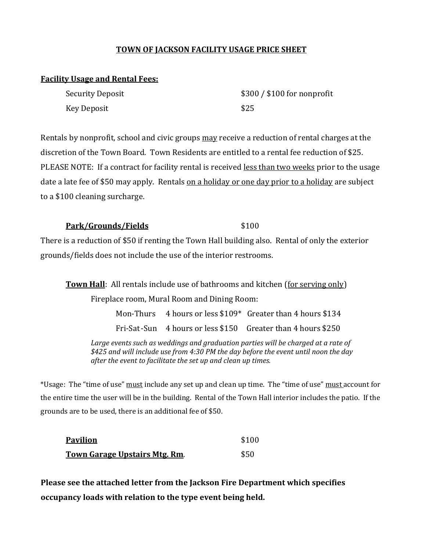## **TOWN OF JACKSON FACILITY USAGE PRICE SHEET**

#### **Facility Usage and Rental Fees:**

| Security Deposit | $$300 / $100$ for nonprofit |
|------------------|-----------------------------|
| Key Deposit      | \$25                        |

Rentals by nonprofit, school and civic groups may receive a reduction of rental charges at the discretion of the Town Board. Town Residents are entitled to a rental fee reduction of \$25. PLEASE NOTE: If a contract for facility rental is received less than two weeks prior to the usage date a late fee of \$50 may apply. Rentals on a holiday or one day prior to a holiday are subject to a \$100 cleaning surcharge.

#### **Park/Grounds/Fields** \$100

There is a reduction of \$50 if renting the Town Hall building also. Rental of only the exterior grounds/fields does not include the use of the interior restrooms.

**Town Hall:** All rentals include use of bathrooms and kitchen (for serving only) Fireplace room, Mural Room and Dining Room: Mon-Thurs  $4$  hours or less \$109\* Greater than  $4$  hours \$134 Fri-Sat-Sun 4 hours or less \$150 Greater than 4 hours \$250 Large events such as weddings and graduation parties will be charged at a rate of *\$425 and will include use from 4:30 PM the day before the event until noon the day after the event to facilitate the set up and clean up times.*

\*Usage: The "time of use" must include any set up and clean up time. The "time of use" must account for the entire time the user will be in the building. Rental of the Town Hall interior includes the patio. If the grounds are to be used, there is an additional fee of \$50.

| <b>Pavilion</b>                      | \$100 |
|--------------------------------------|-------|
| <b>Town Garage Upstairs Mtg. Rm.</b> | \$50  |

**Please see the attached letter from the Jackson Fire Department which specifies occupancy loads with relation to the type event being held.**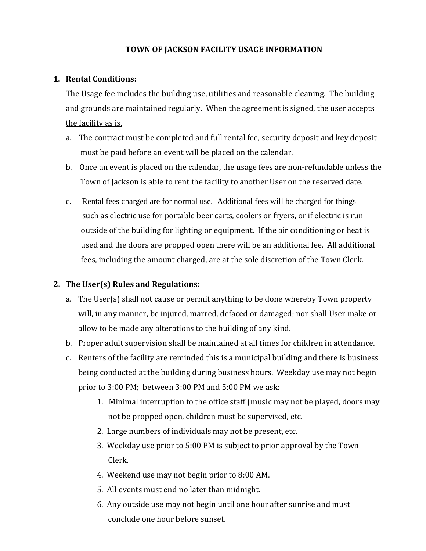## **TOWN OF JACKSON FACILITY USAGE INFORMATION**

#### **1. Rental Conditions:**

The Usage fee includes the building use, utilities and reasonable cleaning. The building and grounds are maintained regularly. When the agreement is signed, the user accepts the facility as is.

- a. The contract must be completed and full rental fee, security deposit and key deposit must be paid before an event will be placed on the calendar.
- b. Once an event is placed on the calendar, the usage fees are non-refundable unless the Town of Jackson is able to rent the facility to another User on the reserved date.
- c. Rental fees charged are for normal use. Additional fees will be charged for things such as electric use for portable beer carts, coolers or fryers, or if electric is run outside of the building for lighting or equipment. If the air conditioning or heat is used and the doors are propped open there will be an additional fee. All additional fees, including the amount charged, are at the sole discretion of the Town Clerk.

## **2. The User(s) Rules and Regulations:**

- a. The User(s) shall not cause or permit anything to be done whereby Town property will, in any manner, be injured, marred, defaced or damaged; nor shall User make or allow to be made any alterations to the building of any kind.
- b. Proper adult supervision shall be maintained at all times for children in attendance.
- c. Renters of the facility are reminded this is a municipal building and there is business being conducted at the building during business hours. Weekday use may not begin prior to 3:00 PM; between 3:00 PM and 5:00 PM we ask:
	- 1. Minimal interruption to the office staff (music may not be played, doors may not be propped open, children must be supervised, etc.
	- 2. Large numbers of individuals may not be present, etc.
	- 3. Weekday use prior to 5:00 PM is subject to prior approval by the Town Clerk.
	- 4. Weekend use may not begin prior to 8:00 AM.
	- 5. All events must end no later than midnight.
	- 6. Any outside use may not begin until one hour after sunrise and must conclude one hour before sunset.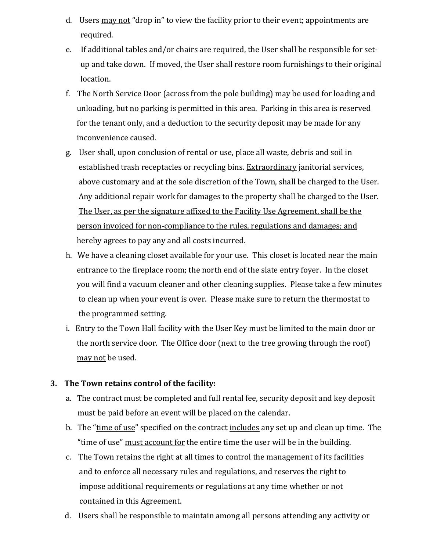- d. Users may not "drop in" to view the facility prior to their event; appointments are required.
- e. If additional tables and/or chairs are required, the User shall be responsible for set up and take down. If moved, the User shall restore room furnishings to their original location.
- f. The North Service Door (across from the pole building) may be used for loading and unloading, but no parking is permitted in this area. Parking in this area is reserved for the tenant only, and a deduction to the security deposit may be made for any inconvenience caused.
- g. User shall, upon conclusion of rental or use, place all waste, debris and soil in established trash receptacles or recycling bins. Extraordinary janitorial services, above customary and at the sole discretion of the Town, shall be charged to the User. Any additional repair work for damages to the property shall be charged to the User. The User, as per the signature affixed to the Facility Use Agreement, shall be the person invoiced for non-compliance to the rules, regulations and damages; and hereby agrees to pay any and all costs incurred.
- h. We have a cleaning closet available for your use. This closet is located near the main entrance to the fireplace room; the north end of the slate entry foyer. In the closet you will find a vacuum cleaner and other cleaning supplies. Please take a few minutes to clean up when your event is over. Please make sure to return the thermostat to the programmed setting.
- i. Entry to the Town Hall facility with the User Key must be limited to the main door or the north service door. The Office door (next to the tree growing through the roof) may not be used.

#### **3. The Town retains control of the facility:**

- a. The contract must be completed and full rental fee, security deposit and key deposit must be paid before an event will be placed on the calendar.
- b. The "time of use" specified on the contract includes any set up and clean up time. The "time of use" must account for the entire time the user will be in the building.
- c. The Town retains the right at all times to control the management of its facilities and to enforce all necessary rules and regulations, and reserves the right to impose additional requirements or regulations at any time whether or not contained in this Agreement.
- d. Users shall be responsible to maintain among all persons attending any activity or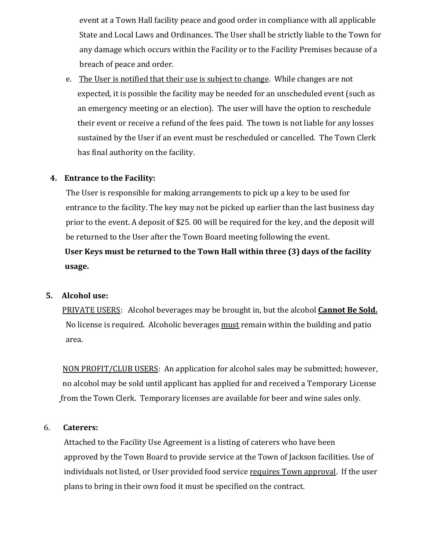event at a Town Hall facility peace and good order in compliance with all applicable State and Local Laws and Ordinances. The User shall be strictly liable to the Town for any damage which occurs within the Facility or to the Facility Premises because of a breach of peace and order.

e. The User is notified that their use is subject to change. While changes are not expected, it is possible the facility may be needed for an unscheduled event (such as an emergency meeting or an election). The user will have the option to reschedule their event or receive a refund of the fees paid. The town is not liable for any losses sustained by the User if an event must be rescheduled or cancelled. The Town Clerk has final authority on the facility.

## **4. Entrance to the Facility:**

The User is responsible for making arrangements to pick up a key to be used for entrance to the facility. The key may not be picked up earlier than the last business day prior to the event. A deposit of \$25. 00 will be required for the key, and the deposit will be returned to the User after the Town Board meeting following the event. **User Keys must be returned to the Town Hall within three (3) days of the facility usage.**

#### **5. Alcohol use:**

PRIVATE USERS:Alcohol beverages may be brought in, but the alcohol **Cannot Be Sold.** No license is required. Alcoholic beverages must remain within the building and patio area.

 NON PROFIT/CLUB USERS: An application for alcohol sales may be submitted; however, no alcohol may be sold until applicant has applied for and received a Temporary License from the Town Clerk. Temporary licenses are available for beer and wine sales only.

#### 6. **Caterers:**

 Attached to the Facility Use Agreement is a listing of caterers who have been approved by the Town Board to provide service at the Town of Jackson facilities. Use of individuals not listed, or User provided food service requires Town approval. If the user plans to bring in their own food it must be specified on the contract.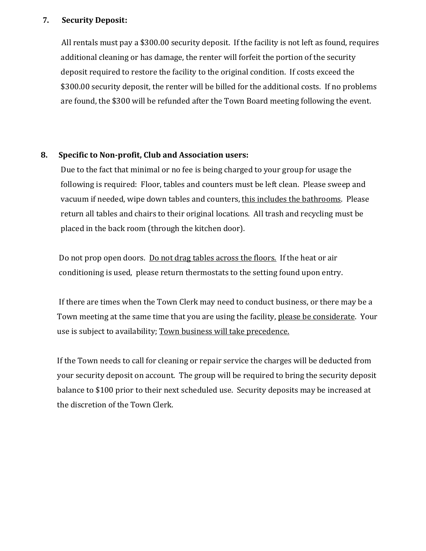#### **7. Security Deposit:**

All rentals must pay a \$300.00 security deposit. If the facility is not left as found, requires additional cleaning or has damage, the renter will forfeit the portion of the security deposit required to restore the facility to the original condition. If costs exceed the \$300.00 security deposit, the renter will be billed for the additional costs. If no problems are found, the \$300 will be refunded after the Town Board meeting following the event.

#### **8. Specific to Non-profit, Club and Association users:**

 Due to the fact that minimal or no fee is being charged to your group for usage the following is required: Floor, tables and counters must be left clean. Please sweep and vacuum if needed, wipe down tables and counters, this includes the bathrooms. Please return all tables and chairs to their original locations. All trash and recycling must be placed in the back room (through the kitchen door).

Do not prop open doors. Do not drag tables across the floors. If the heat or air conditioning is used, please return thermostats to the setting found upon entry.

 If there are times when the Town Clerk may need to conduct business, or there may be a Town meeting at the same time that you are using the facility, please be considerate. Your use is subject to availability; Town business will take precedence.

 If the Town needs to call for cleaning or repair service the charges will be deducted from your security deposit on account. The group will be required to bring the security deposit balance to \$100 prior to their next scheduled use. Security deposits may be increased at the discretion of the Town Clerk.